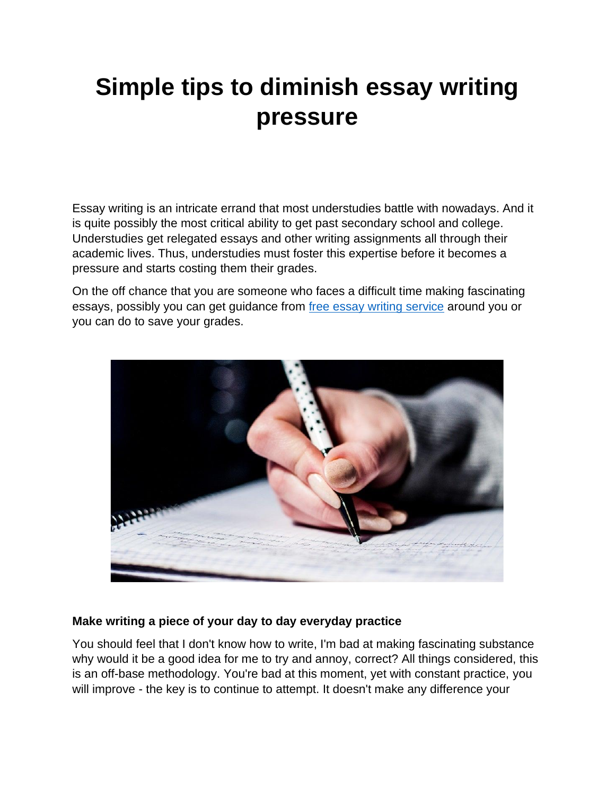# **Simple tips to diminish essay writing pressure**

Essay writing is an intricate errand that most understudies battle with nowadays. And it is quite possibly the most critical ability to get past secondary school and college. Understudies get relegated essays and other writing assignments all through their academic lives. Thus, understudies must foster this expertise before it becomes a pressure and starts costing them their grades.

On the off chance that you are someone who faces a difficult time making fascinating essays, possibly you can get guidance from [free essay writing service](https://theessaywritingservice.com/) around you or you can do to save your grades.



# **Make writing a piece of your day to day everyday practice**

You should feel that I don't know how to write, I'm bad at making fascinating substance why would it be a good idea for me to try and annoy, correct? All things considered, this is an off-base methodology. You're bad at this moment, yet with constant practice, you will improve - the key is to continue to attempt. It doesn't make any difference your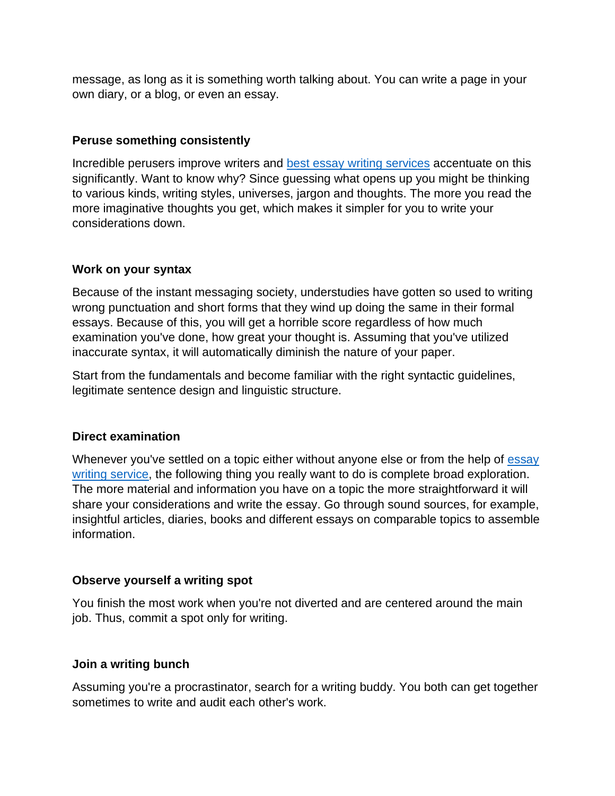message, as long as it is something worth talking about. You can write a page in your own diary, or a blog, or even an essay.

## **Peruse something consistently**

Incredible perusers improve writers and [best essay writing services](https://theessaywritingservice.com/) accentuate on this significantly. Want to know why? Since guessing what opens up you might be thinking to various kinds, writing styles, universes, jargon and thoughts. The more you read the more imaginative thoughts you get, which makes it simpler for you to write your considerations down.

## **Work on your syntax**

Because of the instant messaging society, understudies have gotten so used to writing wrong punctuation and short forms that they wind up doing the same in their formal essays. Because of this, you will get a horrible score regardless of how much examination you've done, how great your thought is. Assuming that you've utilized inaccurate syntax, it will automatically diminish the nature of your paper.

Start from the fundamentals and become familiar with the right syntactic guidelines, legitimate sentence design and linguistic structure.

# **Direct examination**

Whenever you've settled on a topic either without anyone else or from the help of [essay](https://theessaywritingservice.com/)  [writing service,](https://theessaywritingservice.com/) the following thing you really want to do is complete broad exploration. The more material and information you have on a topic the more straightforward it will share your considerations and write the essay. Go through sound sources, for example, insightful articles, diaries, books and different essays on comparable topics to assemble information.

#### **Observe yourself a writing spot**

You finish the most work when you're not diverted and are centered around the main job. Thus, commit a spot only for writing.

#### **Join a writing bunch**

Assuming you're a procrastinator, search for a writing buddy. You both can get together sometimes to write and audit each other's work.